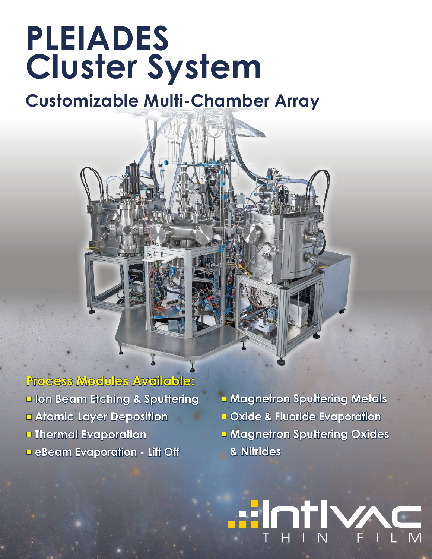# **PLEIADES Cluster System**

**Customizable Multi-Chamber Array**



**Process Modules Available: ■ Ion Beam Etching & Sputtering ■ Atomic Layer Deposition ■ Thermal Evaporation ■ eBeam Evaporation - Lift Off**

**■ Magnetron Sputtering Metals ■ Oxide & Fluoride Evaporation ■ Magnetron Sputtering Oxides & Nitrides**

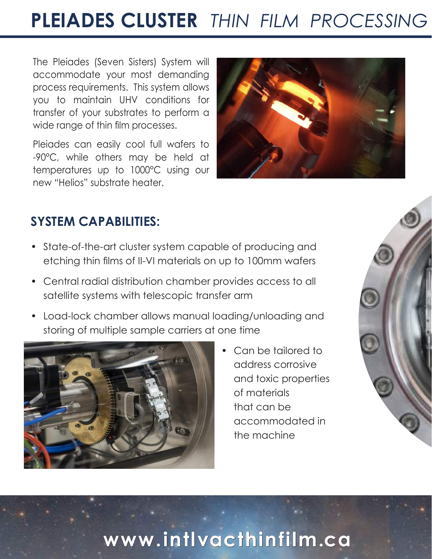# **PLEIADES CLUSTER** *THIN FILM PROCESSING*

The Pleiades (Seven Sisters) System will accommodate your most demanding process requirements. This system allows you to maintain UHV conditions for transfer of your substrates to perform a wide range of thin film processes.

Pleiades can easily cool full wafers to -90°C, while others may be held at temperatures up to 1000°C using our new "Helios" substrate heater.



#### **SYSTEM CAPABILITIES:**

- State-of-the-art cluster system capable of producing and etching thin films of II-VI materials on up to 100mm wafers
- Central radial distribution chamber provides access to all satellite systems with telescopic transfer arm
- Load-lock chamber allows manual loading/unloading and storing of multiple sample carriers at one time



• Can be tailored to address corrosive and toxic properties of materials that can be accommodated in the machine



# **www.intlvacthinfilm.ca**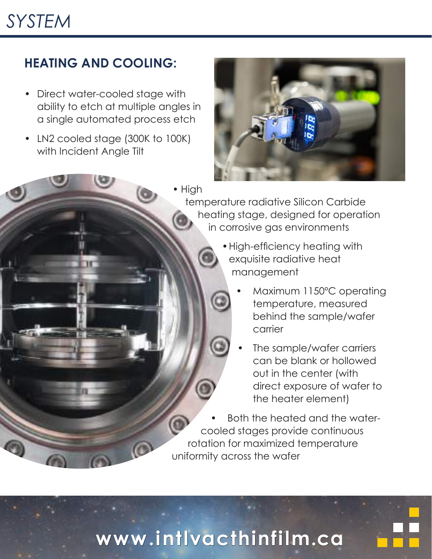## *SYSTEM*

## **HEATING AND COOLING:**

- Direct water-cooled stage with ability to etch at multiple angles in a single automated process etch
- LN2 cooled stage (300K to 100K) with Incident Angle Tilt



• High

temperature radiative Silicon Carbide heating stage, designed for operation in corrosive gas environments

- •High-efficiency heating with exquisite radiative heat management
	- Maximum 1150°C operating temperature, measured behind the sample/wafer carrier
	- The sample/wafer carriers can be blank or hollowed out in the center (with direct exposure of wafer to the heater element)

• Both the heated and the watercooled stages provide continuous rotation for maximized temperature uniformity across the wafer

# **www.intlvacthinfilm.ca**